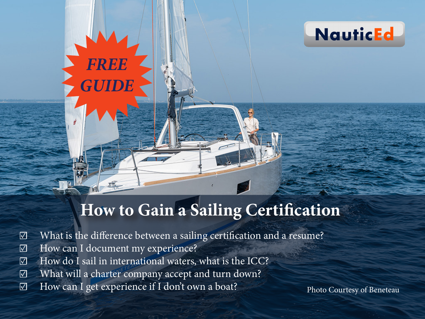

# **How to Gain a Sailing Certification**

- ☑ What is the difference between a sailing certification and a resume?
- ☑ How can I document my experience?

*FREE*

*GUIDE*

- ☑ How do I sail in international waters, what is the ICC?
- ☑ What will a charter company accept and turn down?
- ☑ How can I get experience if I don't own a boat?

Photo Courtesy of Beneteau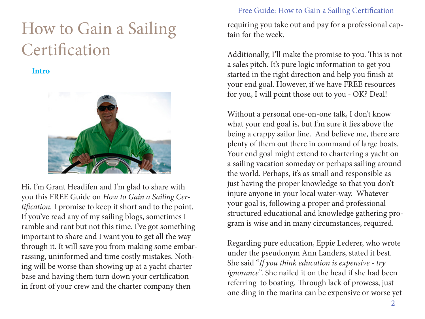# How to Gain a Sailing **Certification**

**Intro**



Hi, I'm Grant Headifen and I'm glad to share with you this FREE Guide on *How to Gain a Sailing Certification.* I promise to keep it short and to the point. If you've read any of my sailing blogs, sometimes I ramble and rant but not this time. I've got something important to share and I want you to get all the way through it. It will save you from making some embarrassing, uninformed and time costly mistakes. Nothing will be worse than showing up at a yacht charter base and having them turn down your certification in front of your crew and the charter company then

#### Free Guide: How to Gain a Sailing Certification

requiring you take out and pay for a professional captain for the week.

Additionally, I'll make the promise to you. This is not a sales pitch. It's pure logic information to get you started in the right direction and help you finish at your end goal. However, if we have FREE resources for you, I will point those out to you - OK? Deal!

Without a personal one-on-one talk, I don't know what your end goal is, but I'm sure it lies above the being a crappy sailor line. And believe me, there are plenty of them out there in command of large boats. Your end goal might extend to chartering a yacht on a sailing vacation someday or perhaps sailing around the world. Perhaps, it's as small and responsible as just having the proper knowledge so that you don't injure anyone in your local water-way. Whatever your goal is, following a proper and professional structured educational and knowledge gathering program is wise and in many circumstances, required.

Regarding pure education, Eppie Lederer, who wrote under the pseudonym Ann Landers, stated it best. She said "*If you think education is expensive - try ignorance"*. She nailed it on the head if she had been referring to boating. Through lack of prowess, just one ding in the marina can be expensive or worse yet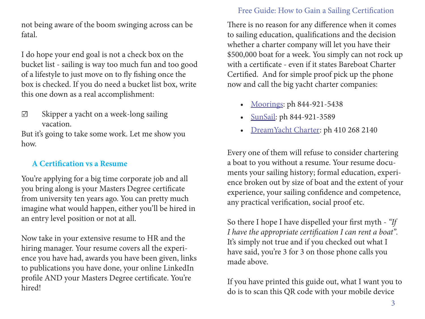not being aware of the boom swinging across can be fatal.

I do hope your end goal is not a check box on the bucket list - sailing is way too much fun and too good of a lifestyle to just move on to fly fishing once the box is checked. If you do need a bucket list box, write this one down as a real accomplishment:

☑ Skipper a yacht on a week-long sailing vacation.

But it's going to take some work. Let me show you how.

# **A Certification vs a Resume**

You're applying for a big time corporate job and all you bring along is your Masters Degree certificate from university ten years ago. You can pretty much imagine what would happen, either you'll be hired in an entry level position or not at all.

Now take in your extensive resume to HR and the hiring manager. Your resume covers all the experience you have had, awards you have been given, links to publications you have done, your online LinkedIn profile AND your Masters Degree certificate. You're hired!

#### Free Guide: How to Gain a Sailing Certification

There is no reason for any difference when it comes to sailing education, qualifications and the decision whether a charter company will let you have their \$500,000 boat for a week. You simply can not rock up with a certificate - even if it states Bareboat Charter Certified. And for simple proof pick up the phone now and call the big yacht charter companies:

- [Moorings:](http://www.moorings.com) ph 844-921-5438
- [SunSail:](http://www.SunSail.com) ph 844-921-3589
- [DreamYacht Charter:](http://www.DreamYachtCharter.com) ph 410 268 2140

Every one of them will refuse to consider chartering a boat to you without a resume. Your resume documents your sailing history; formal education, experience broken out by size of boat and the extent of your experience, your sailing confidence and competence, any practical verification, social proof etc.

So there I hope I have dispelled your first myth - *"If I have the appropriate certification I can rent a boat".* It's simply not true and if you checked out what I have said, you're 3 for 3 on those phone calls you made above.

If you have printed this guide out, what I want you to do is to scan this QR code with your mobile device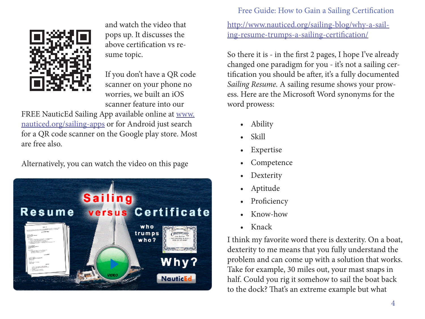

and watch the video that pops up. It discusses the above certification vs resume topic.

If you don't have a QR code scanner on your phone no worries, we built an iOS scanner feature into our

FREE NauticEd Sailing App available online at [www.](http://www.nauticed.org/sailing-apps) [nauticed.org/sailing-apps](http://www.nauticed.org/sailing-apps) or for Android just search for a QR code scanner on the Google play store. Most are free also.

Alternatively, you can watch the video on this page



#### Free Guide: How to Gain a Sailing Certification

[http://www.nauticed.org/sailing-blog/why-a-sail](http://www.nauticed.org/sailing-blog/why-a-sailing-resume-trumps-a-sailing-certification/)[ing-resume-trumps-a-sailing-certification/](http://www.nauticed.org/sailing-blog/why-a-sailing-resume-trumps-a-sailing-certification/)

So there it is - in the first 2 pages, I hope I've already changed one paradigm for you - it's not a sailing certification you should be after, it's a fully documented *Sailing Resume.* A sailing resume shows your prowess. Here are the Microsoft Word synonyms for the word prowess:

- Ability
- Skill
- Expertise
- **Competence**
- **Dexterity**
- Aptitude
- **Proficiency**
- Know-how
- Knack

I think my favorite word there is dexterity. On a boat, dexterity to me means that you fully understand the problem and can come up with a solution that works. Take for example, 30 miles out, your mast snaps in half. Could you rig it somehow to sail the boat back to the dock? That's an extreme example but what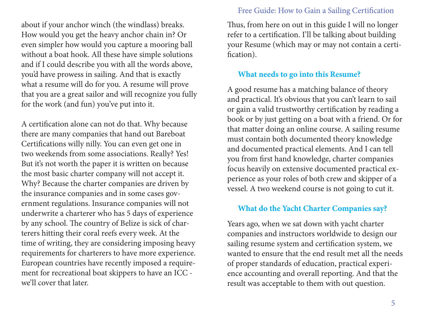about if your anchor winch (the windlass) breaks. How would you get the heavy anchor chain in? Or even simpler how would you capture a mooring ball without a boat hook. All these have simple solutions and if I could describe you with all the words above, you'd have prowess in sailing. And that is exactly what a resume will do for you. A resume will prove that you are a great sailor and will recognize you fully for the work (and fun) you've put into it.

A certification alone can not do that. Why because there are many companies that hand out Bareboat Certifications willy nilly. You can even get one in two weekends from some associations. Really? Yes! But it's not worth the paper it is written on because the most basic charter company will not accept it. Why? Because the charter companies are driven by the insurance companies and in some cases government regulations. Insurance companies will not underwrite a charterer who has 5 days of experience by any school. The country of Belize is sick of charterers hitting their coral reefs every week. At the time of writing, they are considering imposing heavy requirements for charterers to have more experience. European countries have recently imposed a requirement for recreational boat skippers to have an ICC we'll cover that later.

#### Free Guide: How to Gain a Sailing Certification

Thus, from here on out in this guide I will no longer refer to a certification. I'll be talking about building your Resume (which may or may not contain a certification).

#### **What needs to go into this Resume?**

A good resume has a matching balance of theory and practical. It's obvious that you can't learn to sail or gain a valid trustworthy certification by reading a book or by just getting on a boat with a friend. Or for that matter doing an online course. A sailing resume must contain both documented theory knowledge and documented practical elements. And I can tell you from first hand knowledge, charter companies focus heavily on extensive documented practical experience as your roles of both crew and skipper of a vessel. A two weekend course is not going to cut it.

#### **What do the Yacht Charter Companies say?**

Years ago, when we sat down with yacht charter companies and instructors worldwide to design our sailing resume system and certification system, we wanted to ensure that the end result met all the needs of proper standards of education, practical experience accounting and overall reporting. And that the result was acceptable to them with out question.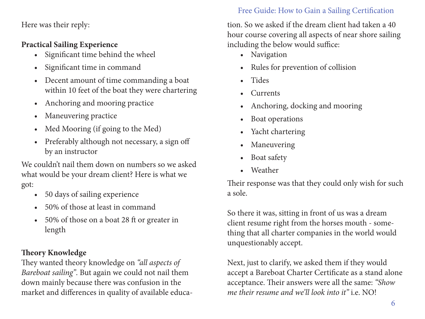Here was their reply:

# **Practical Sailing Experience**

- Significant time behind the wheel
- Significant time in command
- Decent amount of time commanding a boat within 10 feet of the boat they were chartering
- Anchoring and mooring practice
- Maneuvering practice
- Med Mooring (if going to the Med)
- Preferably although not necessary, a sign off by an instructor

We couldn't nail them down on numbers so we asked what would be your dream client? Here is what we got:

- 50 days of sailing experience
- 50% of those at least in command
- 50% of those on a boat 28 ft or greater in length

# **Theory Knowledge**

They wanted theory knowledge on *"all aspects of Bareboat sailing"*. But again we could not nail them down mainly because there was confusion in the market and differences in quality of available educa-

# Free Guide: How to Gain a Sailing Certification

tion. So we asked if the dream client had taken a 40 hour course covering all aspects of near shore sailing including the below would suffice:

- Navigation
- Rules for prevention of collision
- Tides
- **Currents**
- Anchoring, docking and mooring
- Boat operations
- Yacht chartering
- Maneuvering
- Boat safety
- Weather

Their response was that they could only wish for such a sole.

So there it was, sitting in front of us was a dream client resume right from the horses mouth - something that all charter companies in the world would unquestionably accept.

Next, just to clarify, we asked them if they would accept a Bareboat Charter Certificate as a stand alone acceptance. Their answers were all the same: *"Show me their resume and we'll look into it"* i.e. NO!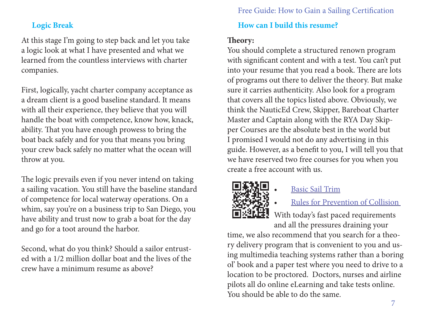#### **Logic Break**

At this stage I'm going to step back and let you take a logic look at what I have presented and what we learned from the countless interviews with charter companies.

First, logically, yacht charter company acceptance as a dream client is a good baseline standard. It means with all their experience, they believe that you will handle the boat with competence, know how, knack, ability. That you have enough prowess to bring the boat back safely and for you that means you bring your crew back safely no matter what the ocean will throw at you.

The logic prevails even if you never intend on taking a sailing vacation. You still have the baseline standard of competence for local waterway operations. On a whim, say you're on a business trip to San Diego, you have ability and trust now to grab a boat for the day and go for a toot around the harbor.

Second, what do you think? Should a sailor entrusted with a 1/2 million dollar boat and the lives of the crew have a minimum resume as above?

#### Free Guide: How to Gain a Sailing Certification

# **How can I build this resume?**

# **Theory:**

You should complete a structured renown program with significant content and with a test. You can't put into your resume that you read a book. There are lots of programs out there to deliver the theory. But make sure it carries authenticity. Also look for a program that covers all the topics listed above. Obviously, we think the NauticEd Crew, Skipper, Bareboat Charter Master and Captain along with the RYA Day Skipper Courses are the absolute best in the world but I promised I would not do any advertising in this guide. However, as a benefit to you, I will tell you that we have reserved two free courses for you when you create a free account with us.



# • [Basic Sail Trim](http://www.nauticed.org/freesailingcourse)

• [Rules for Prevention of Collision](http://www.nauticed.org/sailingcourses/view/navigation-rules) 

With today's fast paced requirements and all the pressures draining your

time, we also recommend that you search for a theory delivery program that is convenient to you and using multimedia teaching systems rather than a boring ol' book and a paper test where you need to drive to a location to be proctored. Doctors, nurses and airline pilots all do online eLearning and take tests online. You should be able to do the same.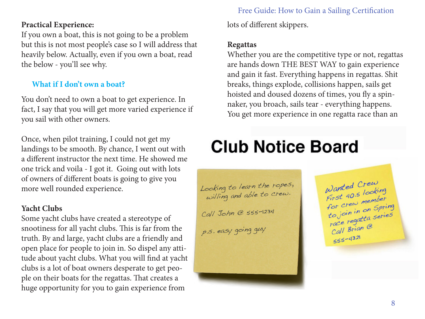#### **Practical Experience:**

If you own a boat, this is not going to be a problem but this is not most people's case so I will address that heavily below. Actually, even if you own a boat, read the below - you'll see why.

# **What if I don't own a boat?**

You don't need to own a boat to get experience. In fact, I say that you will get more varied experience if you sail with other owners.

Once, when pilot training, I could not get my landings to be smooth. By chance, I went out with a different instructor the next time. He showed me one trick and voila - I got it. Going out with lots of owners of different boats is going to give you more well rounded experience.

#### **Yacht Clubs**

Some yacht clubs have created a stereotype of snootiness for all yacht clubs. This is far from the truth. By and large, yacht clubs are a friendly and open place for people to join in. So dispel any attitude about yacht clubs. What you will find at yacht clubs is a lot of boat owners desperate to get people on their boats for the regattas. That creates a huge opportunity for you to gain experience from

# Free Guide: How to Gain a Sailing Certification

lots of different skippers.

#### **Regattas**

Whether you are the competitive type or not, regattas are hands down THE BEST WAY to gain experience and gain it fast. Everything happens in regattas. Shit breaks, things explode, collisions happen, sails get hoisted and doused dozens of times, you fly a spinnaker, you broach, sails tear - everything happens. You get more experience in one regatta race than an

# **Club Notice Board**

Looking to learn the ropes,<br>willing and able to crew. Call John @ 555-1234 p.s. easy going guy

Wanted Crew Wanted Clocking<br>First 40.5 looking First 40.5 member<br>for crew member for crew member<br>to join in on Spring<br>to join in on Spries to join in on offices race region @  $555 - 4321$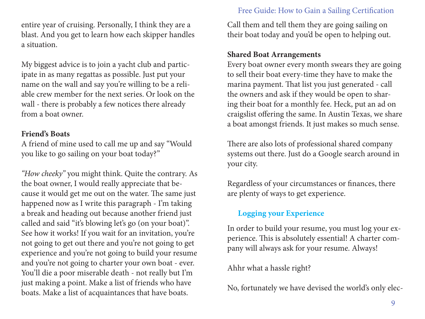entire year of cruising. Personally, I think they are a blast. And you get to learn how each skipper handles a situation.

My biggest advice is to join a yacht club and participate in as many regattas as possible. Just put your name on the wall and say you're willing to be a reliable crew member for the next series. Or look on the wall - there is probably a few notices there already from a boat owner.

#### **Friend's Boats**

A friend of mine used to call me up and say "Would you like to go sailing on your boat today?"

*"How cheeky"* you might think. Quite the contrary. As the boat owner, I would really appreciate that because it would get me out on the water. The same just happened now as I write this paragraph - I'm taking a break and heading out because another friend just called and said "it's blowing let's go (on your boat)". See how it works! If you wait for an invitation, you're not going to get out there and you're not going to get experience and you're not going to build your resume and you're not going to charter your own boat - ever. You'll die a poor miserable death - not really but I'm just making a point. Make a list of friends who have boats. Make a list of acquaintances that have boats.

#### Free Guide: How to Gain a Sailing Certification

Call them and tell them they are going sailing on their boat today and you'd be open to helping out.

#### **Shared Boat Arrangements**

Every boat owner every month swears they are going to sell their boat every-time they have to make the marina payment. That list you just generated - call the owners and ask if they would be open to sharing their boat for a monthly fee. Heck, put an ad on craigslist offering the same. In Austin Texas, we share a boat amongst friends. It just makes so much sense.

There are also lots of professional shared company systems out there. Just do a Google search around in your city.

Regardless of your circumstances or finances, there are plenty of ways to get experience.

# **Logging your Experience**

In order to build your resume, you must log your experience. This is absolutely essential! A charter company will always ask for your resume. Always!

Ahhr what a hassle right?

No, fortunately we have devised the world's only elec-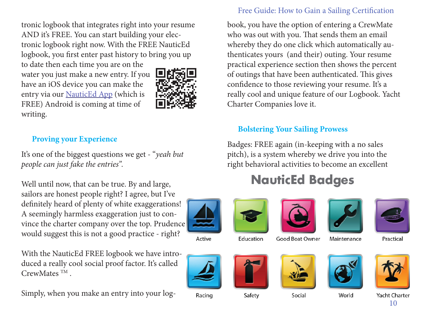tronic logbook that integrates right into your resume AND it's FREE. You can start building your electronic logbook right now. With the FREE NauticEd logbook, you first enter past history to bring you up

to date then each time you are on the water you just make a new entry. If you have an iOS device you can make the entry via our [NauticEd App](http://www.nauticed.org/sailing-apps) (which is FREE) Android is coming at time of writing.



# **Proving your Experience**

It's one of the biggest questions we get - "*yeah but people can just fake the entries".*

Well until now, that can be true. By and large, sailors are honest people right? I agree, but I've definitely heard of plenty of white exaggerations! A seemingly harmless exaggeration just to convince the charter company over the top. Prudence would suggest this is not a good practice - right?

With the NauticEd FREE logbook we have introduced a really cool social proof factor. It's called CrewMates TM .

Simply, when you make an entry into your log-

#### Free Guide: How to Gain a Sailing Certification

book, you have the option of entering a CrewMate who was out with you. That sends them an email whereby they do one click which automatically authenticates yours (and their) outing. Your resume practical experience section then shows the percent of outings that have been authenticated. This gives confidence to those reviewing your resume. It's a really cool and unique feature of our Logbook. Yacht Charter Companies love it.

#### **Bolstering Your Sailing Prowess**

Badges: FREE again (in-keeping with a no sales pitch), is a system whereby we drive you into the right behavioral activities to become an excellent

# **NauticEd Badges**



Active





Good Boat Owner





Practical



Racing





Safety



Social



World



Yacht Charter 10



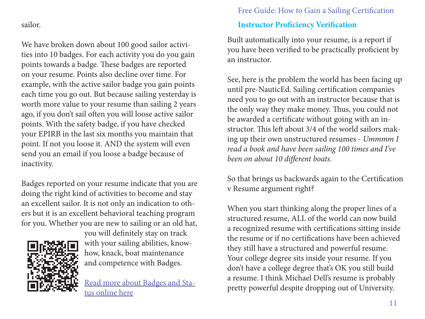#### sailor.

We have broken down about 100 good sailor activities into 10 badges. For each activity you do you gain points towards a badge. These badges are reported on your resume. Points also decline over time. For example, with the active sailor badge you gain points each time you go out. But because sailing yesterday is worth more value to your resume than sailing 2 years ago, if you don't sail often you will loose active sailor points. With the safety badge, if you have checked your EPIRB in the last six months you maintain that point. If not you loose it. AND the system will even send you an email if you loose a badge because of inactivity.

Badges reported on your resume indicate that you are doing the right kind of activities to become and stay an excellent sailor. It is not only an indication to others but it is an excellent behavioral teaching program for you. Whether you are new to sailing or an old hat,



you will definitely stay on track with your sailing abilities, knowhow, knack, boat maintenance and competence with Badges.

[Read more about Badges and Sta](http://www.nauticed.org/sailing-blog/sailing-badges/)[tus online here](http://www.nauticed.org/sailing-blog/sailing-badges/)

# Free Guide: How to Gain a Sailing Certification **Instructor Proficiency Verification**

Built automatically into your resume, is a report if you have been verified to be practically proficient by an instructor.

See, here is the problem the world has been facing up until pre-NauticEd. Sailing certification companies need you to go out with an instructor because that is the only way they make money. Thus, you could not be awarded a certificate without going with an instructor. This left about 3/4 of the world sailors making up their own unstructured resumes - *Ummmm I read a book and have been sailing 100 times and I've been on about 10 different boats.*

So that brings us backwards again to the Certification v Resume argument right?

When you start thinking along the proper lines of a structured resume, ALL of the world can now build a recognized resume with certifications sitting inside the resume or if no certifications have been achieved they still have a structured and powerful resume. Your college degree sits inside your resume. If you don't have a college degree that's OK you still build a resume. I think Michael Dell's resume is probably pretty powerful despite dropping out of University.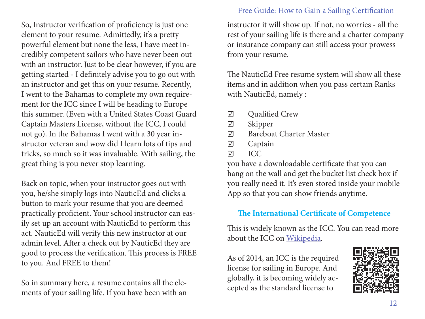So, Instructor verification of proficiency is just one element to your resume. Admittedly, it's a pretty powerful element but none the less, I have meet incredibly competent sailors who have never been out with an instructor. Just to be clear however, if you are getting started - I definitely advise you to go out with an instructor and get this on your resume. Recently, I went to the Bahamas to complete my own requirement for the ICC since I will be heading to Europe this summer. (Even with a United States Coast Guard Captain Masters License, without the ICC, I could not go). In the Bahamas I went with a 30 year instructor veteran and wow did I learn lots of tips and tricks, so much so it was invaluable. With sailing, the great thing is you never stop learning.

Back on topic, when your instructor goes out with you, he/she simply logs into NauticEd and clicks a button to mark your resume that you are deemed practically proficient. Your school instructor can easily set up an account with NauticEd to perform this act. NauticEd will verify this new instructor at our admin level. After a check out by NauticEd they are good to process the verification. This process is FREE to you. And FREE to them!

So in summary here, a resume contains all the elements of your sailing life. If you have been with an

#### Free Guide: How to Gain a Sailing Certification

instructor it will show up. If not, no worries - all the rest of your sailing life is there and a charter company or insurance company can still access your prowess from your resume.

The NauticEd Free resume system will show all these items and in addition when you pass certain Ranks with NauticEd, namely :

- ☑ Qualified Crew
- ☑ Skipper
- ☑ Bareboat Charter Master
- ☑ Captain
- ☑ ICC

you have a downloadable certificate that you can hang on the wall and get the bucket list check box if you really need it. It's even stored inside your mobile App so that you can show friends anytime.

# **The International Certificate of Competence**

This is widely known as the ICC. You can read more about the ICC on [Wikipedia](https://en.wikipedia.org/wiki/International_Certificate_of_Competence).

As of 2014, an ICC is the required license for sailing in Europe. And globally, it is becoming widely accepted as the standard license to

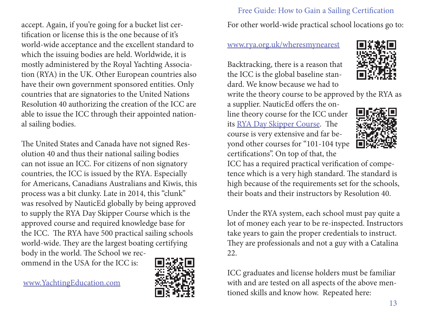accept. Again, if you're going for a bucket list certification or license this is the one because of it's world-wide acceptance and the excellent standard to which the issuing bodies are held. Worldwide, it is mostly administered by the Royal Yachting Association (RYA) in the UK. Other European countries also have their own government sponsored entities. Only countries that are signatories to the United Nations Resolution 40 authorizing the creation of the ICC are able to issue the ICC through their appointed national sailing bodies.

The United States and Canada have not signed Resolution 40 and thus their national sailing bodies can not issue an ICC. For citizens of non signatory countries, the ICC is issued by the RYA. Especially for Americans, Canadians Australians and Kiwis, this process was a bit clunky. Late in 2014, this "clunk" was resolved by NauticEd globally by being approved to supply the RYA Day Skipper Course which is the approved course and required knowledge base for the ICC. The RYA have 500 practical sailing schools world-wide. They are the largest boating certifying body in the world. The School we recommend in the USA for the ICC is:

[www.YachtingEducation.com](http://www.YachtingEducation.com)



Free Guide: How to Gain a Sailing Certification For other world-wide practical school locations go to:

[www.rya.org.uk/wheresmynearest](http://www.rya.org.uk/wheresmynearest)

Backtracking, there is a reason that the ICC is the global baseline standard. We know because we had to

write the theory course to be approved by the RYA as

a supplier. NauticEd offers the online theory course for the ICC under its [RYA Day Skipper Course.](http://www.nauticed.org/sailingcourses/view/rya-day-skipper) The course is very extensive and far beyond other courses for "101-104 type certifications". On top of that, the





ICC has a required practical verification of competence which is a very high standard. The standard is high because of the requirements set for the schools, their boats and their instructors by Resolution 40.

Under the RYA system, each school must pay quite a lot of money each year to be re-inspected. Instructors take years to gain the proper credentials to instruct. They are professionals and not a guy with a Catalina 22.

ICC graduates and license holders must be familiar with and are tested on all aspects of the above mentioned skills and know how. Repeated here: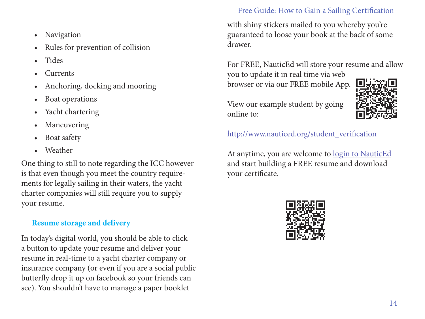- Navigation
- Rules for prevention of collision
- Tides
- **Currents**
- Anchoring, docking and mooring
- Boat operations
- Yacht chartering
- **Maneuvering**
- Boat safety
- Weather

One thing to still to note regarding the ICC however is that even though you meet the country requirements for legally sailing in their waters, the yacht charter companies will still require you to supply your resume.

#### **Resume storage and delivery**

In today's digital world, you should be able to click a button to update your resume and deliver your resume in real-time to a yacht charter company or insurance company (or even if you are a social public butterfly drop it up on facebook so your friends can see). You shouldn't have to manage a paper booklet

#### Free Guide: How to Gain a Sailing Certification

with shiny stickers mailed to you whereby you're guaranteed to loose your book at the back of some drawer.

For FREE, NauticEd will store your resume and allow you to update it in real time via web

browser or via our FREE mobile App.

View our example student by going online to:



[http://www.nauticed.org/student\\_verification](http://www.nauticed.org/student_verification)

At anytime, you are welcome to [login to NauticEd](http://www.nauticed.org) and start building a FREE resume and download your certificate.

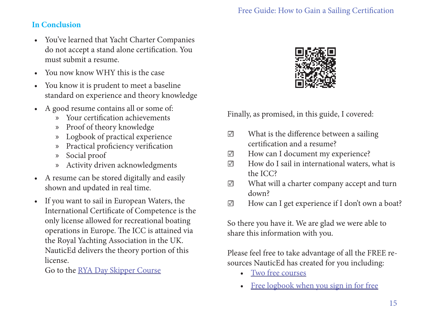### **In Conclusion**

- You've learned that Yacht Charter Companies do not accept a stand alone certification. You must submit a resume.
- You now know WHY this is the case
- You know it is prudent to meet a baseline standard on experience and theory knowledge
- A good resume contains all or some of:
	- » Your certification achievements
	- » Proof of theory knowledge
	- » Logbook of practical experience
	- » Practical proficiency verification
	- » Social proof
	- » Activity driven acknowledgments
- A resume can be stored digitally and easily shown and updated in real time.
- If you want to sail in European Waters, the International Certificate of Competence is the only license allowed for recreational boating operations in Europe. The ICC is attained via the Royal Yachting Association in the UK. NauticEd delivers the theory portion of this license.

Go to the <u>[RYA Day Skipper Course](http://www.nauticed.org/sailingcourses/view/rya-day-skipper)</u>



Finally, as promised, in this guide, I covered:

- ☑ What is the difference between a sailing certification and a resume?
- ☑ How can I document my experience?
- ☑ How do I sail in international waters, what is the ICC?
- ☑ What will a charter company accept and turn down?
- ☑ How can I get experience if I don't own a boat?

So there you have it. We are glad we were able to share this information with you.

Please feel free to take advantage of all the FREE resources NauticEd has created for you including:

- [Two free courses](http://www.nauticed.org/sailingcourses)
- [Free logbook when you sign in for free](http://www.nauticed.org/signin)